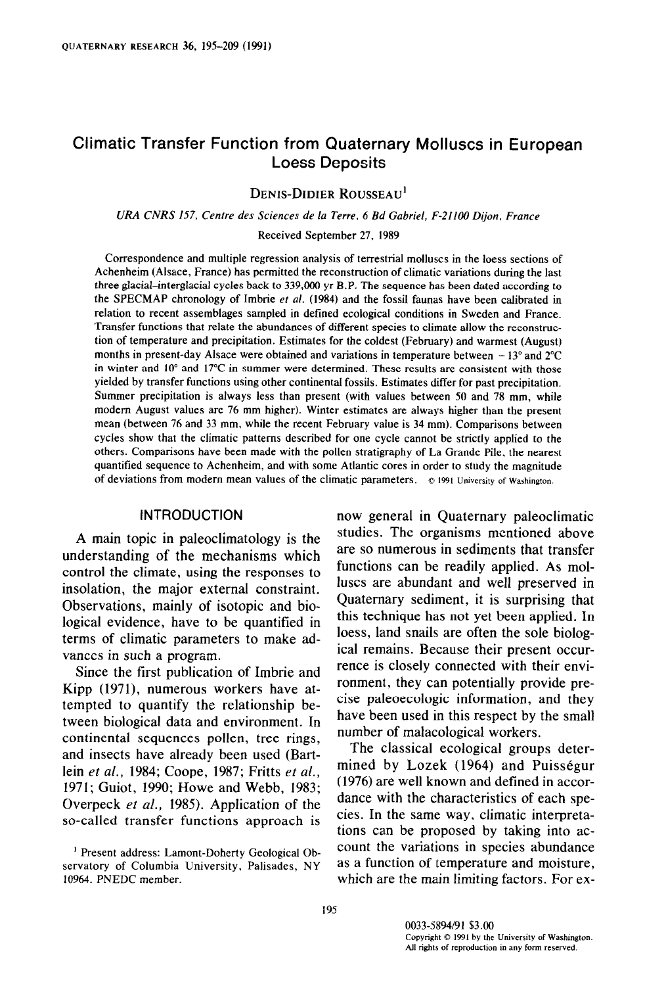# Climatic Transfer Function from Quaternary Molluscs in European Loess Deposits

DENIS-DIDIER ROUSSEAU'

URA CNRS 157, Centre des Sciences de la Terre, 6 Bd Gabriel, F-21100 Dijon, France

Received September 27, 1989

Correspondence and multiple regression analysis of terrestrial molluscs in the loess sections of Achenheim (Alsace, France) has permitted the reconstruction of climatic variations during the last three glacial-interglacial cycles back to 339,000 yr B.P. The sequence has been dated according to the SPECMAP chronology of Imbrie et al. (1984) and the fossil faunas have been calibrated in relation to recent assemblages sampled in defined ecological conditions in Sweden and France. Transfer functions that relate the abundances of different species to climate allow the reconstruction of temperature and precipitation. Estimates for the coldest (February) and warmest (August) months in present-day Alsace were obtained and variations in temperature between  $-13^{\circ}$  and  $2^{\circ}$ C in winter and 10" and 17°C in summer were determined. These results are consistent with those yielded by transfer functions using other continental fossils. Estimates differ for past precipitation. Summer precipitation is always less than present (with values between 50 and 78 mm, while modem August values are 76 mm higher). Winter estimates are always higher than the present mean (between 76 and 33 mm, while the recent February value is 34 mm). Comparisons between cycles show that the climatic patterns described for one cycle cannot be strictly applied to the others. Comparisons have been made with the pollen stratigraphy of La Grande Pile, the nearest quantified sequence to Achenheim, and with some Atlantic cores in order to study the magnitude of deviations from modern mean values of the climatic parameters.  $\circ$  1991 University of Washington.

### INTRODUCTION

A main topic in paleoclimatology is the understanding of the mechanisms which control the climate, using the responses to insolation, the major external constraint. Observations, mainly of isotopic and biological evidence, have to be quantified in terms of climatic parameters to make advances in such a program.

Since the first publication of Imbrie and Kipp (1971), numerous workers have attempted to quantify the relationship between biological data and environment. In continental sequences pollen, tree rings, and insects have already been used (Bartlein et al., 1984; Coope, 1987; Fritts et al., 1971; Guiot, 1990; Howe and Webb, 1983; Overpeck et al., 1985). Application of the so-called transfer functions approach is now general in Quaternary paleoclimatic studies. The organisms mentioned above are so numerous in sediments that transfer functions can be readily applied. As molluscs are abundant and well preserved in Quaternary sediment, it is surprising that this technique has not yet been applied. In loess, land snails are often the sole biological remains. Because their present occurrence is closely connected with their environment, they can potentially provide precise paleoecologic information, and they have been used in this respect by the small number of malacological workers.

The classical ecological groups determined by Lozek (1964) and Puissegur (1976) are well known and defined in accordance with the characteristics of each species. In the same way, climatic interpretations can be proposed by taking into account the variations in species abundance as a function of temperature and moisture, which are the main limiting factors. For ex-

<sup>&#</sup>x27; Present address: Lamont-Doherty Geological Observatory of Columbia University, Palisades, NY 10964. PNEDC member.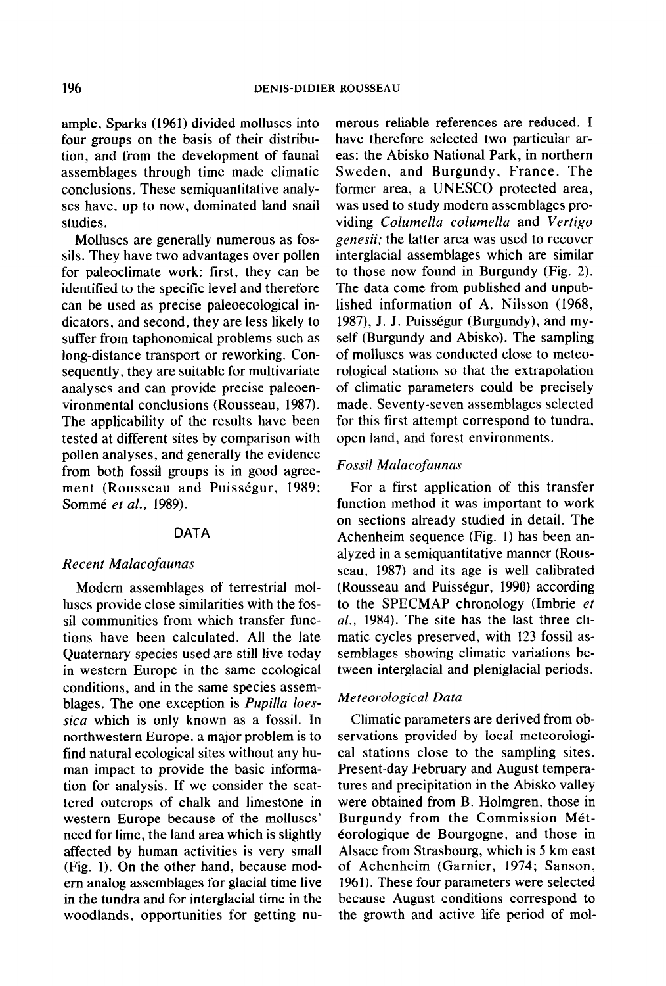ample, Sparks (1961) divided molluscs into four groups on the basis of their distribution, and from the development of fauna1 assemblages through time made climatic conclusions. These semiquantitative analyses have, up to now, dominated land snail studies.

Molluscs are generally numerous as fossils. They have two advantages over pollen for paleoclimate work: first, they can be identified to the specific level and therefore can be used as precise paleoecological indicators, and second, they are less likely to suffer from taphonomical problems such as long-distance transport or reworking. Consequently, they are suitable for multivariate analyses and can provide precise paleoenvironmental conclusions (Rousseau, 1987). The applicability of the results have been tested at different sites by comparison with pollen analyses, and generally the evidence from both fossil groups is in good agreement (Rousseau and Puisségur, 1989; Sommé et al., 1989).

# DATA

#### Recent Malacofaunas

Modern assemblages of terrestrial molluscs provide close similarities with the fossil communities from which transfer functions have been calculated. All the late Quaternary species used are still live today in western Europe in the same ecological conditions, and in the same species assemblages. The one exception is Pupilla loessica which is only known as a fossil. In northwestern Europe, a major problem is to find natural ecological sites without any human impact to provide the basic information for analysis. If we consider the scattered outcrops of chalk and limestone in western Europe because of the molluscs' need for lime, the land area which is slightly affected by human activities is very small (Fig. 1). On the other hand, because modern analog assemblages for glacial time live in the tundra and for interglacial time in the woodlands, opportunities for getting numerous reliable references are reduced. I have therefore selected two particular areas: the Abisko National Park, in northern Sweden, and Burgundy, France. The former area, a UNESCO protected area, was used to study modern assemblages providing Columella columella and Vertigo genesii; the latter area was used to recover interglacial assemblages which are similar to those now found in Burgundy (Fig. 2). The data come from published and unpublished information of A. Nilsson (1968, 1987), J. J. Puisségur (Burgundy), and myself (Burgundy and Abisko). The sampling of molluscs was conducted close to meteorological stations so that the extrapolation of climatic parameters could be precisely made. Seventy-seven assemblages selected for this first attempt correspond to tundra, open land, and forest environments.

# Fossil Malacofaunas

For a first application of this transfer function method it was important to work on sections already studied in detail. The Achenheim sequence (Fig. 1) has been analyzed in a semiquantitative manner (Rousseau, 1987) and its age is well calibrated (Rousseau and Puissegur, 1990) according to the SPECMAP chronology (Imbrie et al., 1984). The site has the last three climatic cycles preserved, with 123 fossil assemblages showing climatic variations between interglacial and pleniglacial periods.

#### Meteorological Data

Climatic parameters are derived from observations provided by local meteorological stations close to the sampling sites. Present-day February and August temperatures and precipitation in the Abisko valley were obtained from B. Holmgren, those in Burgundy from the Commission Meteorologique de Bourgogne, and those in Alsace from Strasbourg, which is 5 km east of Achenheim (Garnier, 1974; Sanson, 1961). These four parameters were selected because August conditions correspond to the growth and active life period of mol-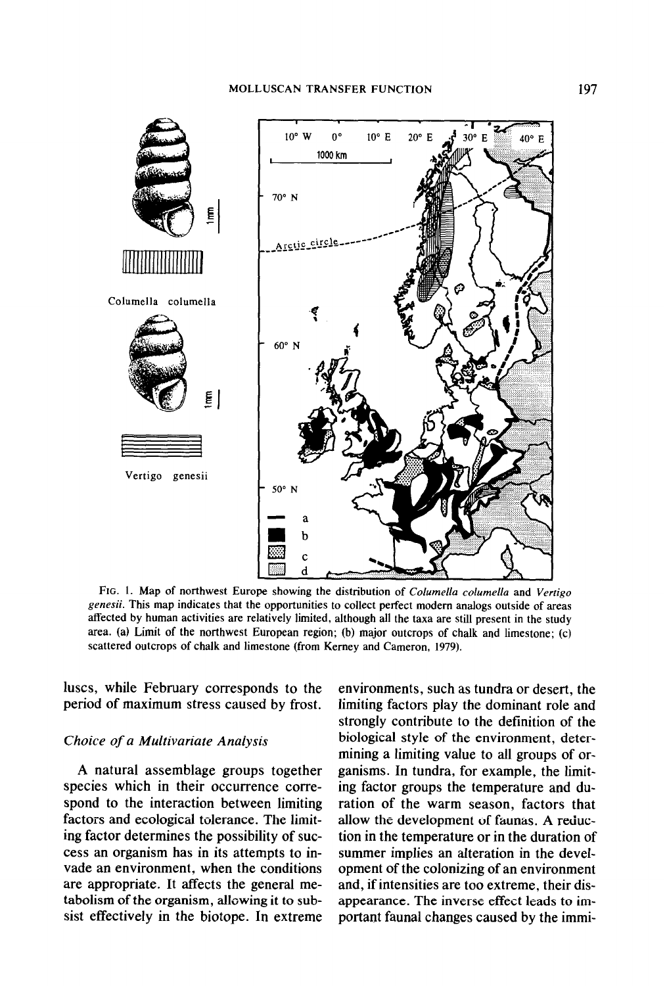

FIG. 1. Map of northwest Europe showing the distribution of Columella columella and Vertigo genesii. This map indicates that the opportunities to collect perfect modem analogs outside of areas affected by human activities are relatively limited, although all the taxa are still present in the study area. (a) Limit of the northwest European region; (b) major outcrops of chalk and limestone; (c) scattered outcrops of chalk and limestone (from Kemey and Cameron, 1979).

luscs, while February corresponds to the period of maximum stress caused by frost.

#### Choice of a Multivariate Analysis

A natural assemblage groups together species which in their occurrence correspond to the interaction between limiting factors and ecological tolerance. The limiting factor determines the possibility of success an organism has in its attempts to invade an environment, when the conditions are appropriate. It affects the general metabolism of the organism, allowing it to subsist effectively in the biotope. In extreme

environments, such as tundra or desert, the limiting factors play the dominant role and strongly contribute to the definition of the biological style of the environment, determining a limiting value to all groups of organisms. In tundra, for example, the limiting factor groups the temperature and duration of the warm season, factors that allow the development of faunas. A reduction in the temperature or in the duration of summer implies an alteration in the development of the colonizing of an environment and, if intensities are too extreme, their disappearance. The inverse effect leads to important faunal changes caused by the immi-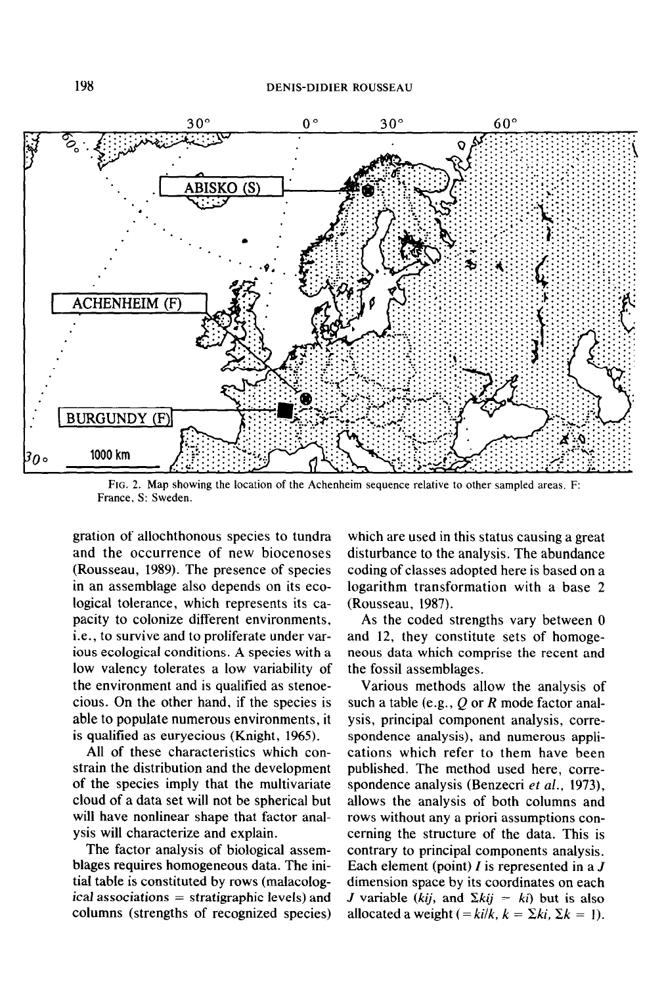

FIG. 2. Map showing the location of the Achenheim sequence relative to other sampled areas. F: France, S: Sweden.

gration of allochthonous species to tundra and the occurrence of new biocenoses (Rousseau, 1989). The presence of species in an assemblage also depends on its ecological tolerance, which represents its capacity to colonize different environments, i.e., to survive and to proliferate under various ecological conditions. A species with a low valency tolerates a low variability of the environment and is qualified as stenoecious. On the other hand, if the species is able to populate numerous environments, it is qualified as euryecious (Knight, 1965).

All of these characteristics which constrain the distribution and the development of the species imply that the multivariate cloud of a data set will not be spherical but will have nonlinear shape that factor analysis will characterize and explain.

The factor analysis of biological assemblages requires homogeneous data. The initial table is constituted by rows (malacological associations = stratigraphic levels) and columns (strengths of recognized species)

which are used in this status causing a great disturbance to the analysis. The abundance coding of classes adopted here is based on a logarithm transformation with a base 2 (Rousseau, 1987).

As the coded strengths vary between 0 and 12, they constitute sets of homogeneous data which comprise the recent and the fossil assemblages.

Various methods allow the analysis of such a table (e.g.,  $Q$  or  $R$  mode factor analysis, principal component analysis, correspondence analysis), and numerous applications which refer to them have been published. The method used here, correspondence analysis (Benzecri et al., 1973). allows the analysis of both columns and rows without any a priori assumptions concerning the structure of the data. This is contrary to principal components analysis. Each element (point)  $I$  is represented in a  $J$ dimension space by its coordinates on each *J* variable (kij, and  $\sum kij = ki$ ) but is also allocated a weight (=  $ki/k$ ,  $k = \sum ki$ ,  $\sum k = 1$ ).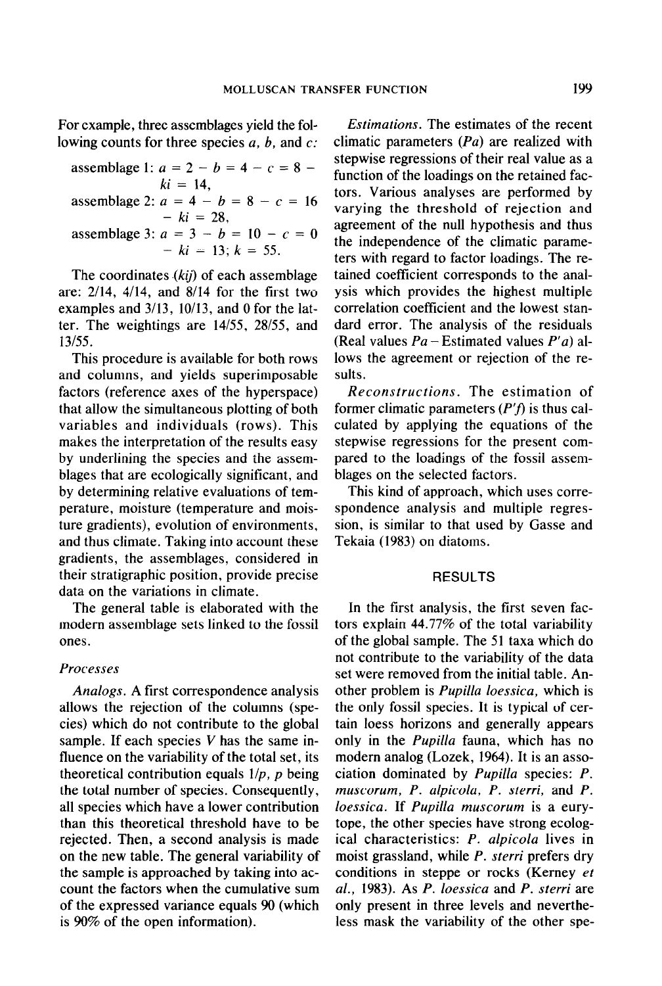For example, three assemblages yield the following counts for three species  $a, b$ , and  $c$ :

assemblage 1:  $a = 2 - b = 4 - c = 8$  $ki = 14$ . assemblage 2:  $a = 4 - b = 8 - c = 16$  $- ki = 28$ , assemblage 3:  $a = 3 - b = 10 - c = 0$  $- ki = 13; k = 55.$ 

The coordinates  $(kii)$  of each assemblage are:  $2/14$ ,  $4/14$ , and  $8/14$  for the first two examples and  $3/13$ ,  $10/13$ , and 0 for the latter. The weightings are 14/55, 28/55, and 13155.

This procedure is available for both rows and columns, and yields superimposable factors (reference axes of the hyperspace) that allow the simultaneous plotting of both variables and individuals (rows). This makes the interpretation of the results easy by underlining the species and the assemblages that are ecologically significant, and by determining relative evaluations of temperature, moisture (temperature and moisture gradients), evolution of environments, and thus climate. Taking into account these gradients, the assemblages, considered in their stratigraphic position, provide precise data on the variations in climate.

The general table is elaborated with the modern assemblage sets linked to the fossil ones.

# Processes

Analogs. A first correspondence analysis allows the rejection of the columns (species) which do not contribute to the global sample. If each species V has the same influence on the variability of the total set, its theoretical contribution equals  $1/p$ , p being the total number of species. Consequently, all species which have a lower contribution than this theoretical threshold have to be rejected. Then, a second analysis is made on the new table. The general variability of the sample is approached by taking into account the factors when the cumulative sum of the expressed variance equals 90 (which is 90% of the open information).

Estimations. The estimates of the recent climatic parameters  $(Pa)$  are realized with stepwise regressions of their real value as a function of the loadings on the retained factors. Various analyses are performed by varying the threshold of rejection and agreement of the null hypothesis and thus the independence of the climatic parameters with regard to factor loadings. The retained coefficient corresponds to the analysis which provides the highest multiple correlation coefficient and the lowest standard error. The analysis of the residuals (Real values  $Pa$  - Estimated values  $P'a$ ) allows the agreement or rejection of the results.

Reconstructions. The estimation of former climatic parameters  $(P'f)$  is thus calculated by applying the equations of the stepwise regressions for the present compared to the loadings of the fossil assemblages on the selected factors.

This kind of approach, which uses correspondence analysis and multiple regression, is similar to that used by Gasse and Tekaia (1983) on diatoms.

# **RESULTS**

In the first analysis, the first seven factors explain 44.77% of the total variability of the global sample. The 51 taxa which do not contribute to the variability of the data set were removed from the initial table. Another problem is *Pupilla loessica*, which is the only fossil species. It is typical of certain loess horizons and generally appears only in the *Pupilla* fauna, which has no modern analog (Lozek, 1964). It is an association dominated by Pupilla species: P. muscorum, P. alpicola, P. sterri, and P. loessica. If Pupilla muscorum is a eurytope, the other species have strong ecological characteristics: P. alpicola lives in moist grassland, while P. sterri prefers dry conditions in steppe or rocks (Kerney et al., 1983). As P. loessica and P. sterri are only present in three levels and nevertheless mask the variability of the other spe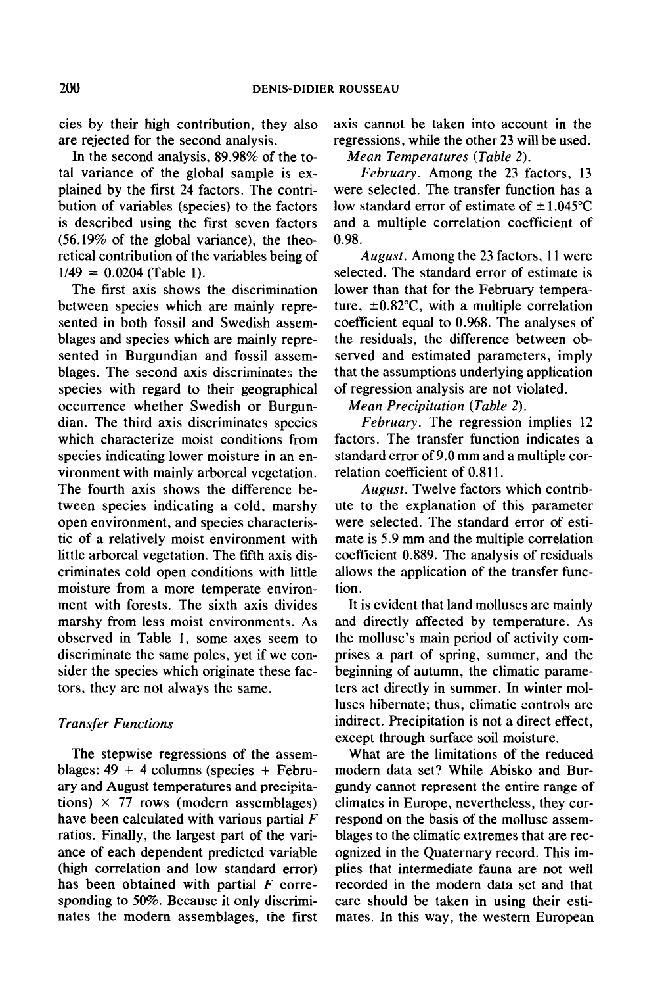cies by their high contribution, they also are rejected for the second analysis.

In the second analysis, 89.98% of the total variance of the global sample is explained by the first 24 factors. The contribution of variables (species) to the factors is described using the first seven factors (56.19% of the global variance), the theoretical contribution of the variables being of  $1/49 = 0.0204$  (Table 1).

The first axis shows the discrimination between species which are mainly represented in both fossil and Swedish assemblages and species which are mainly represented in Burgundian and fossil assemblages. The second axis discriminates the species with regard to their geographical occurrence whether Swedish or Burgundian. The third axis discriminates species which characterize moist conditions from species indicating lower moisture in an environment with mainly arboreal vegetation. The fourth axis shows the difference between species indicating a cold, marshy open environment, and species characteristic of a relatively moist environment with little arboreal vegetation. The fifth axis discriminates cold open conditions with little moisture from a more temperate environment with forests. The sixth axis divides marshy from less moist environments. As observed in Table 1, some axes seem to discriminate the same poles, yet if we consider the species which originate these factors, they are not always the same.

# Transfer Functions

The stepwise regressions of the assemblages:  $49 + 4$  columns (species + February and August temperatures and precipitations)  $\times$  77 rows (modern assemblages) have been calculated with various partial  $F$ ratios. Finally, the largest part of the variance of each dependent predicted variable (high correlation and low standard error) has been obtained with partial  $F$  corresponding to 50%. Because it only discriminates the modern assemblages, the first axis cannot be taken into account in the regressions, while the other 23 will be used.

Mean Temperatures (Table 2).

February. Among the 23 factors, 13 were selected. The transfer function has a low standard error of estimate of  $\pm 1.045^{\circ}$ C and a multiple correlation coefficient of 0.98.

August. Among the 23 factors, 11 were selected. The standard error of estimate is lower than that for the February temperature,  $\pm 0.82$ °C, with a multiple correlation coefficient equal to 0.968. The analyses of the residuals, the difference between observed and estimated parameters, imply that the assumptions underlying application of regression analysis are not violated.

Mean Precipitation (Table 2).

February. The regression implies 12 factors. The transfer function indicates a standard error of 9.0 mm and a multiple correlation coefficient of 0.811.

August. Twelve factors which contribute to the explanation of this parameter were selected. The standard error of estimate is 5.9 mm and the multiple correlation coefficient 0.889. The analysis of residuals allows the application of the transfer function.

It is evident that land molluscs are mainly and directly affected by temperature. As the mollusc's main period of activity comprises a part of spring, summer, and the beginning of autumn, the climatic parameters act directly in summer. In winter molluscs hibernate; thus, climatic controls are indirect. Precipitation is not a direct effect, except through surface soil moisture.

What are the limitations of the reduced modern data set? While Abisko and Burgundy cannot represent the entire range of climates in Europe, nevertheless, they correspond on the basis of the mollusc assemblages to the climatic extremes that are recognized in the Quaternary record. This implies that intermediate fauna are not well recorded in the modern data set and that care should be taken in using their estimates. In this way, the western European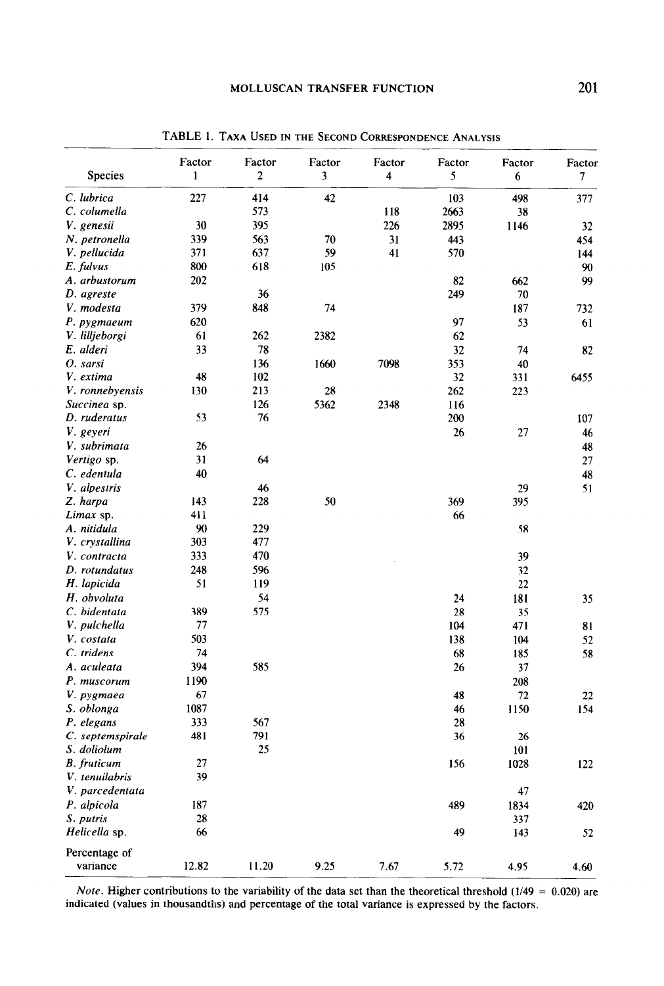|                    | Factor | Factor | Factor | Factor | Factor | Factor | Factor |
|--------------------|--------|--------|--------|--------|--------|--------|--------|
| Species            | 1      | 2      | 3      | 4      | 5      | 6      | 7      |
| C. lubrica         | 227    | 414    | 42     |        | 103    | 498    | 377    |
| C. columella       |        | 573    |        | 118    | 2663   | 38     |        |
| V. genesii         | 30     | 395    |        | 226    | 2895   | 1146   | 32     |
| N. petronella      | 339    | 563    | 70     | 31     | 443    |        | 454    |
| V. pellucida       | 371    | 637    | 59     | 41     | 570    |        | 144    |
| E. fulvus          | 800    | 618    | 105    |        |        |        | 90     |
| A. arbustorum      | 202    |        |        |        | 82     | 662    | 99     |
| D. agreste         |        | 36     |        |        | 249    | 70     |        |
| V. modesta         | 379    | 848    | 74     |        |        | 187    | 732    |
| P. pygmaeum        | 620    |        |        |        | 97     | 53     | 61     |
| V. lilljeborgi     | 61     | 262    | 2382   |        | 62     |        |        |
| E. alderi          | 33     | 78     |        |        | 32     | 74     | 82     |
| O. sarsi           |        | 136    | 1660   | 7098   | 353    | 40     |        |
| V. extima          | 48     | 102    |        |        | 32     | 331    | 6455   |
| V. ronnebyensis    | 130    | 213    | 28     |        | 262    | 223    |        |
| Succinea sp.       |        | 126    | 5362   | 2348   | 116    |        |        |
| D. ruderatus       | 53     | 76     |        |        | 200    |        | 107    |
| V. geyeri          |        |        |        |        | 26     | 27     | 46     |
| V. subrimata       | 26     |        |        |        |        |        | 48     |
| Vertigo sp.        | 31     | 64     |        |        |        |        | 27     |
| C. edentula        | 40     |        |        |        |        |        | 48     |
| V. alpestris       |        | 46     |        |        |        | 29     | 51     |
| Z. harpa           | 143    | 228    | 50     |        | 369    | 395    |        |
| Limax sp.          | 411    |        |        |        | 66     |        |        |
| A. nitidula        | 90     | 229    |        |        |        | 58     |        |
| V. crystallina     | 303    | 477    |        |        |        |        |        |
| V. contracta       | 333    | 470    |        |        |        | 39     |        |
| D. rotundatus      | 248    | 596    |        |        |        |        |        |
|                    | 51     | 119    |        |        |        | 32     |        |
| H. lapicida        |        | 54     |        |        |        | 22     |        |
| H. obvoluta        |        |        |        |        | 24     | 181    | 35     |
| C. bidentata       | 389    | 575    |        |        | 28     | 35     |        |
| V. pulchella       | 77     |        |        |        | 104    | 471    | 81     |
| V. costata         | 503    |        |        |        | 138    | 104    | 52     |
| C. tridens         | 74     |        |        |        | 68     | 185    | 58     |
| A. aculeata        | 394    | 585    |        |        | 26     | 37     |        |
| P. muscorum        | 1190   |        |        |        |        | 208    |        |
| V. pygmaea         | 67     |        |        |        | 48     | 72     | 22     |
| S. oblonga         | 1087   |        |        |        | 46     | 1150   | 154    |
| P. elegans         | 333    | 567    |        |        | 28     |        |        |
| C. septemspirale   | 481    | 791    |        |        | 36     | 26     |        |
| S. doliolum        |        | 25     |        |        |        | 101    |        |
| <b>B.</b> fruticum | 27     |        |        |        | 156    | 1028   | 122    |
| V. tenuilabris     | 39     |        |        |        |        |        |        |
| V. parcedentata    |        |        |        |        |        | 47     |        |
| P. alpicola        | 187    |        |        |        | 489    | 1834   | 420    |
| S. putris          | 28     |        |        |        |        | 337    |        |
| Helicella sp.      | 66     |        |        |        | 49     | 143    | 52     |
| Percentage of      |        |        |        |        |        |        |        |
| variance           | 12.82  | 11.20  | 9.25   | 7.67   | 5.72   | 4.95   | 4.60   |

TABLE 1, TAXA USED IN THE SECOND CORRESPONDENCE ANALYSIS

*Note.* Higher contributions to the variability of the data set than the theoretical threshold (1/49 = 0.020) are indicated (values in thousandths) and percentage of the total variance is expressed by the factors.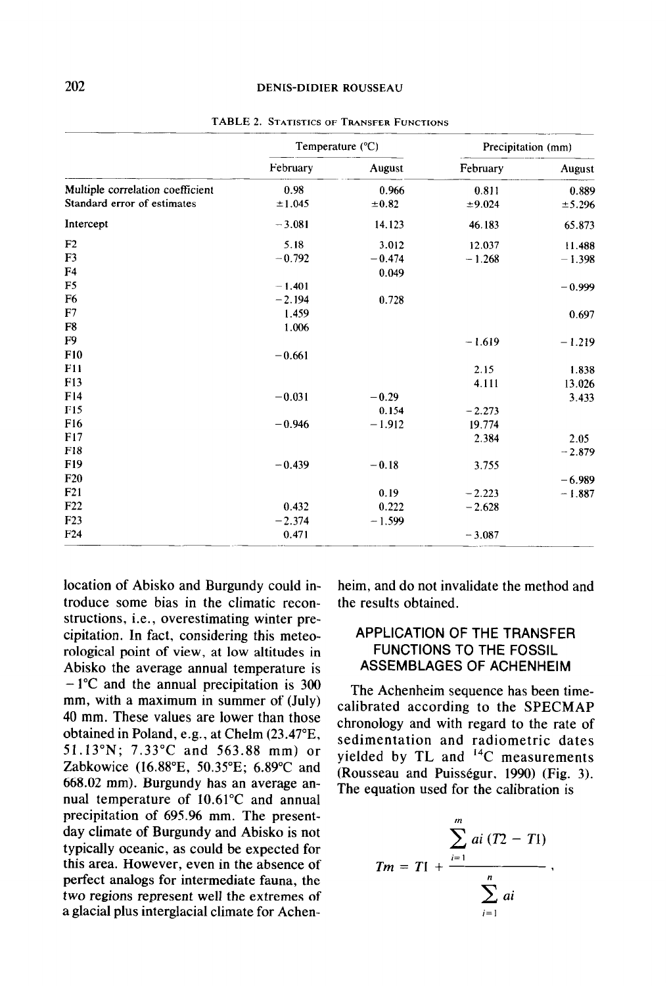# 202 DENIS-DIDIER ROUSSEAU

|                                  | Temperature (°C) |            | Precipitation (mm) |          |  |
|----------------------------------|------------------|------------|--------------------|----------|--|
|                                  | February         | August     | February           | August   |  |
| Multiple correlation coefficient | 0.98             | 0.966      | 0.811              | 0.889    |  |
| Standard error of estimates      | ±1.045           | $\pm 0.82$ | ±9.024             | ±5.296   |  |
| Intercept                        | $-3.081$         | 14.123     | 46.183             | 65.873   |  |
| F <sub>2</sub>                   | 5.18             | 3.012      | 12.037             | 11.488   |  |
| F <sub>3</sub>                   | $-0.792$         | $-0.474$   | $-1.268$           | $-1.398$ |  |
| F <sub>4</sub>                   |                  | 0.049      |                    |          |  |
| F <sub>5</sub>                   | $-1.401$         |            |                    | $-0.999$ |  |
| F <sub>6</sub>                   | $-2.194$         | 0.728      |                    |          |  |
| F <sub>7</sub>                   | 1.459            |            |                    | 0.697    |  |
| F8                               | 1.006            |            |                    |          |  |
| F9                               |                  |            | $-1.619$           | $-1.219$ |  |
| F10                              | $-0.661$         |            |                    |          |  |
| F11                              |                  |            | 2.15               | 1.838    |  |
| F <sub>13</sub>                  |                  |            | 4.111              | 13.026   |  |
| F14                              | $-0.031$         | $-0.29$    |                    | 3.433    |  |
| <b>F15</b>                       |                  | 0.154      | $-2.273$           |          |  |
| F <sub>16</sub>                  | $-0.946$         | $-1.912$   | 19.774             |          |  |
| F17                              |                  |            | 2.384              | 2.05     |  |
| F18                              |                  |            |                    | $-2.879$ |  |
| F19                              | $-0.439$         | $-0.18$    | 3.755              |          |  |
| F <sub>20</sub>                  |                  |            |                    | $-6.989$ |  |
| F21                              |                  | 0.19       | $-2.223$           | $-1.887$ |  |
| F <sub>22</sub>                  | 0.432            | 0.222      | $-2.628$           |          |  |
| F <sub>23</sub>                  | $-2.374$         | $-1.599$   |                    |          |  |
| F <sub>24</sub>                  | 0.471            |            | $-3.087$           |          |  |

TABLE 2. STATISTICS OF TRANSFER FUNCTIONS

location of Abisko and Burgundy could introduce some bias in the climatic reconstructions, i.e., overestimating winter precipitation. In fact, considering this meteorological point of view, at low altitudes in Abisko the average annual temperature is  $-1$ °C and the annual precipitation is 300 mm, with a maximum in summer of (July) 40 mm. These values are lower than those obtained in Poland, e.g., at Chelm (23.47"E, 51.13"N; 7.33"C and 563.88 mm) or Zabkowice (16.88°E, 50.35°E; 6.89°C and 668.02 mm). Burgundy has an average annual temperature of 10.61"C and annual precipitation of 695.96 mm. The presentday climate of Burgundy and Abisko is not typically oceanic, as could be expected for this area. However, even in the absence of perfect analogs for intermediate fauna, the two regions represent well the extremes of a glacial plus interglacial climate for Achenheim, and do not invalidate the method and the results obtained.

# APPLICATION OF THE TRANSFER FUNCTIONS TO THE FOSSIL ASSEMBLAGES OF ACHENHEIM

The Achenheim sequence has been timecalibrated according to the SPECMAP chronology and with regard to the rate of sedimentation and radiometric dates yielded by TL and  $^{14}C$  measurements (Rousseau and Puissegur, 1990) (Fig. 3). The equation used for the calibration is

$$
Tm = T1 + \frac{\sum_{i=1}^{m} ai (T2 - T1)}{\sum_{i=1}^{n} ai},
$$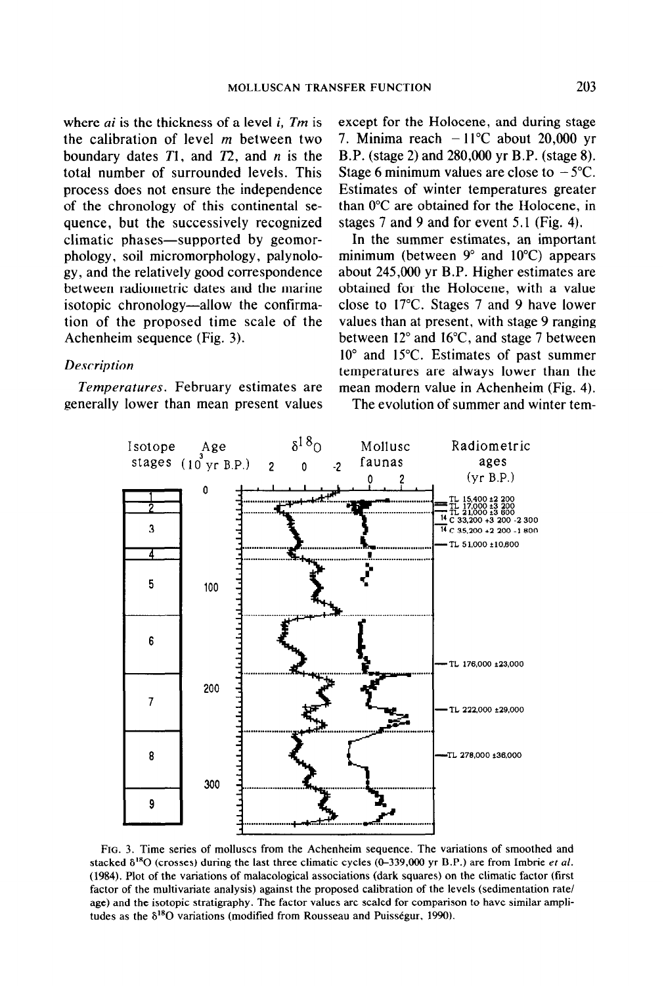the calibration of level m between two 7. Minima reach  $-11^{\circ}$ C about 20,000 yr boundary dates T1, and T2, and n is the B.P. (stage 2) and 280,000 yr B.P. (stage 8). total number of surrounded levels. This Stage 6 minimum values are close to  $-5^{\circ}$ C. process does not ensure the independence Estimates of winter temperatures greater of the chronology of this continental se- than  $0^{\circ}$ C are obtained for the Holocene, in quence, but the successively recognized stages  $7$  and  $9$  and for event  $5.1$  (Fig. 4). climatic phases-supported by geomor- In the summer estimates, an important phology, soil micromorphology, palynolo- minimum (between 9" and 1O'C) appears gy, and the relatively good correspondence about 245,000 yr B.P. Higher estimates are between radiometric dates and the marine obtained for the Holocene, with a value isotopic chronology—allow the confirma- close to  $17^{\circ}$ C. Stages 7 and 9 have lower tion of the proposed time scale of the values than at present, with stage 9 ranging Achenheim sequence (Fig. 3). between  $12^{\circ}$  and  $16^{\circ}$ C, and stage 7 between

# **Description**

generally lower than mean present values The evolution of summer and winter tem-

where *ai* is the thickness of a level *i*,  $Tm$  is except for the Holocene, and during stage

lo" and 15°C. Estimates of past summer temperatures are always lower than the Temperatures. February estimates are mean modern value in Achenheim (Fig. 4).



FIG. 3. Time series of molluscs from the Achenheim sequence. The variations of smoothed and stacked  $\delta^{18}$ O (crosses) during the last three climatic cycles (0–339,000 yr B.P.) are from Imbrie *et al.* (1984). Plot of the variations of malacological associations (dark squares) on the climatic factor (first factor of the multivariate analysis) against the proposed calibration of the levels (sedimentation rate/ age) and the isotopic stratigraphy. The factor values are scaled for comparison to have similar amplitudes as the  $\delta^{18}O$  variations (modified from Rousseau and Puisségur, 1990).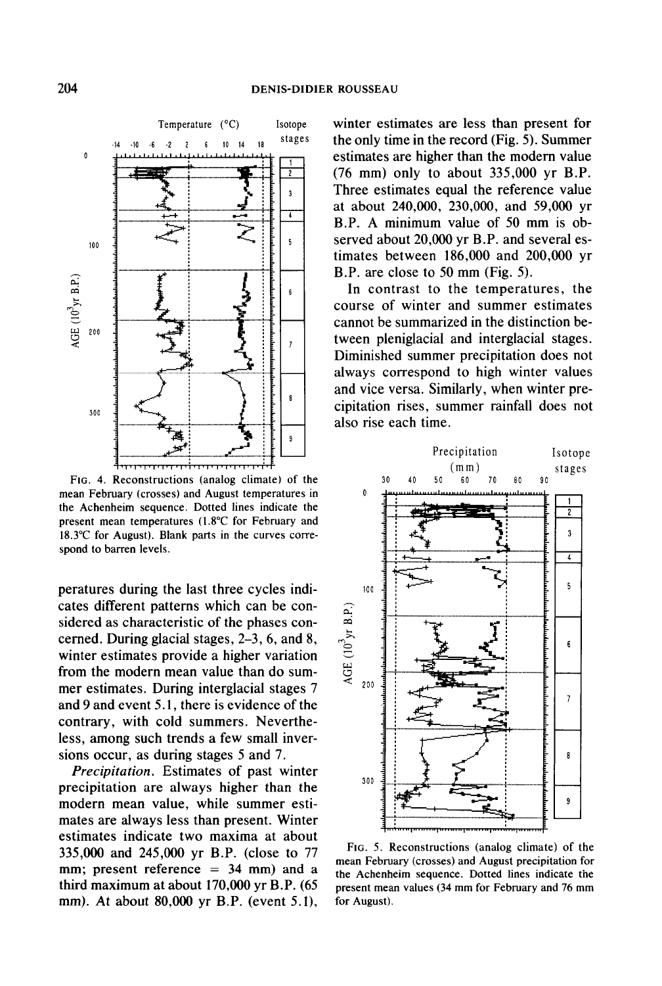

FIG. 4. Reconstructions (analog climate) of the mean February (crosses) and August temperatures in the Achenheim sequence. Dotted lines indicate the present mean temperatures (1.8"C for February and 18.3"C for August). Blank parts in the curves correspond to barren levels.

peratures during the last three cycles indicates different patterns which can be considered as characteristic of the phases concerned. During glacial stages, 2-3, 6, and 8, winter estimates provide a higher variation from the modern mean value than do summer estimates. During interglacial stages 7 and 9 and event 5.1, there is evidence of the contrary, with cold summers. Nevertheless, among such trends a few small inversions occur, as during stages 5 and 7.

Precipitation. Estimates of past winter precipitation are always higher than the modern mean value, while summer estimates are always less than present. Winter estimates indicate two maxima at about 335,000 and 245,000 yr B.P. (close to 77 mm; present reference  $= 34$  mm) and a third maximum at about 170,000 yr B.P. (65 mm). At about 80,000 yr B.P. (event 5.1),

winter estimates are less than present for the only time in the record (Fig. 5). Summer estimates are higher than the modem value (76 mm) only to about 335,000 yr B.P. Three estimates equal the reference value at about 240,000, 230,000, and 59,000 yr B.P. A minimum value of 50 mm is observed about 20,000 yr B.P. and several estimates between 186,000 and 200,000 yr B.P. are close to 50 mm (Fig. 5).

In contrast to the temperatures, the course of winter and summer estimates cannot be summarized in the distinction between pleniglacial and interglacial stages. Diminished summer precipitation does not always correspond to high winter values and vice versa. Similarly, when winter precipitation rises, summer rainfall does not also rise each time.



FIG. 5. Reconstructions (analog climate) of the mean February (crosses) and August precipitation for the Achenheim sequence. Dotted lines indicate the present mean values (34 mm for February and 76 mm for August).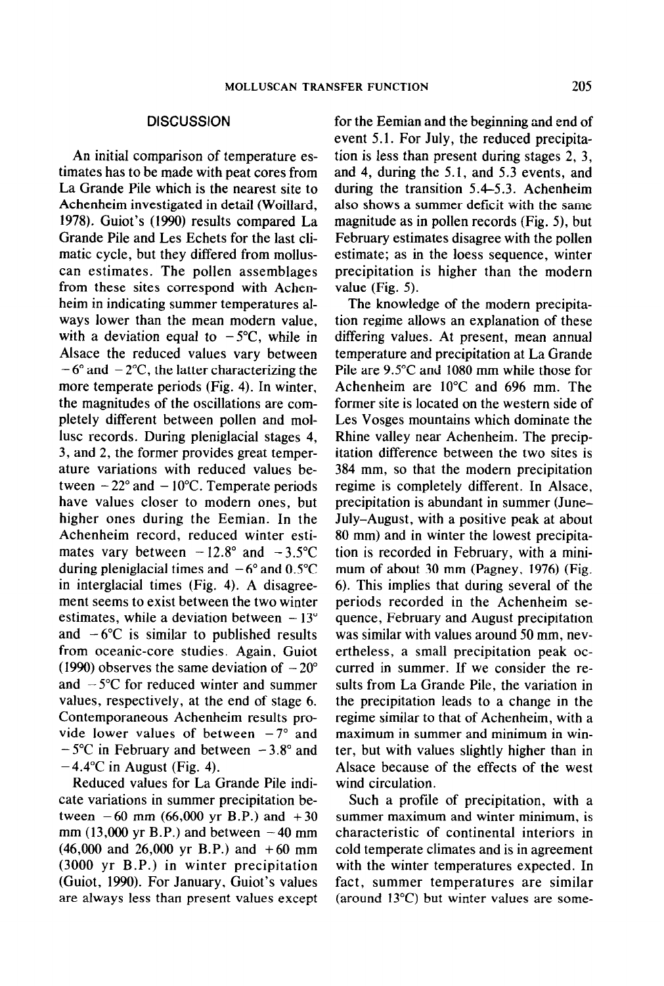# **DISCUSSION**

An initial comparison of temperature estimates has to be made with peat cores from La Grande Pile which is the nearest site to Achenheim investigated in detail (Woillard, 1978). Guiot's (1990) results compared La Grande Pile and Les Echets for the last climatic cycle, but they differed from molluscan estimates. The pollen assemblages from these sites correspond with Achenheim in indicating summer temperatures always lower than the mean modern value, with a deviation equal to  $-5^{\circ}$ C, while in Alsace the reduced values vary between  $-6^{\circ}$  and  $-2^{\circ}$ C, the latter characterizing the more temperate periods (Fig. 4). In winter, the magnitudes of the oscillations are completely different between pollen and mollusc records. During pleniglacial stages 4, 3, and 2, the former provides great temperature variations with reduced values between  $-22^{\circ}$  and  $-10^{\circ}$ C. Temperate periods have values closer to modern ones, but higher ones during the Eemian. In the Achenheim record, reduced winter estimates vary between  $-12.8^{\circ}$  and  $-3.5^{\circ}$ C during pleniglacial times and  $-6^{\circ}$  and  $0.5^{\circ}$ C in interglacial times (Fig. 4). A disagreement seems to exist between the two winter estimates, while a deviation between  $-13^{\circ}$ and  $-6^{\circ}$ C is similar to published results from oceanic-core studies. Again, Guiot (1990) observes the same deviation of  $-20^{\circ}$ and  $-5^{\circ}$ C for reduced winter and summer values, respectively, at the end of stage 6. Contemporaneous Achenheim results provide lower values of between  $-7^{\circ}$  and  $-5^{\circ}$ C in February and between  $-3.8^{\circ}$  and  $-4.4$ °C in August (Fig. 4).

Reduced values for La Grande Pile indicate variations in summer precipitation between  $-60$  mm (66,000 yr B.P.) and  $+30$ mm (13,000 yr B.P.) and between  $-40$  mm  $(46,000$  and  $26,000$  yr B.P.) and  $+60$  mm (3000 yr B.P.) in winter precipitation (Guiot, 1990). For January, Guiot's values are always less than present values except for the Eemian and the beginning and end of event 5.1. For July, the reduced precipitation is less than present during stages 2, 3, and 4, during the 5.1, and 5.3 events, and during the transition 5.4-5.3. Achenheim also shows a summer deficit with the same magnitude as in pollen records (Fig. 5), but February estimates disagree with the pollen estimate; as in the loess sequence, winter precipitation is higher than the modern value (Fig. 5).

The knowledge of the modern precipitation regime allows an explanation of these differing values. At present, mean annual temperature and precipitation at La Grande Pile are 9.5"C and 1080 mm while those for Achenheim are 10°C and 696 mm. The former site is located on the western side of Les Vosges mountains which dominate the Rhine valley near Achenheim. The precipitation difference between the two sites is 384 mm, so that the modern precipitation regime is completely different. In Alsace, precipitation is abundant in summer (June-July-August, with a positive peak at about 80 mm) and in winter the lowest precipitation is recorded in February, with a minimum of about 30 mm (Pagney. 1976) (Fig. 6). This implies that during several of the periods recorded in the Achenheim sequence, February and August precipitation was similar with values around 50 mm, nevertheless, a small precipitation peak occurred in summer. If we consider the results from La Grande Pile, the variation in the precipitation leads to a change in the regime similar to that of Achenheim, with a maximum in summer and minimum in winter, but with values slightly higher than in Alsace because of the effects of the west wind circulation.

Such a profile of precipitation, with a summer maximum and winter minimum, is characteristic of continental interiors in cold temperate climates and is in agreement with the winter temperatures expected. In fact, summer temperatures are similar (around 13°C) but winter values are some-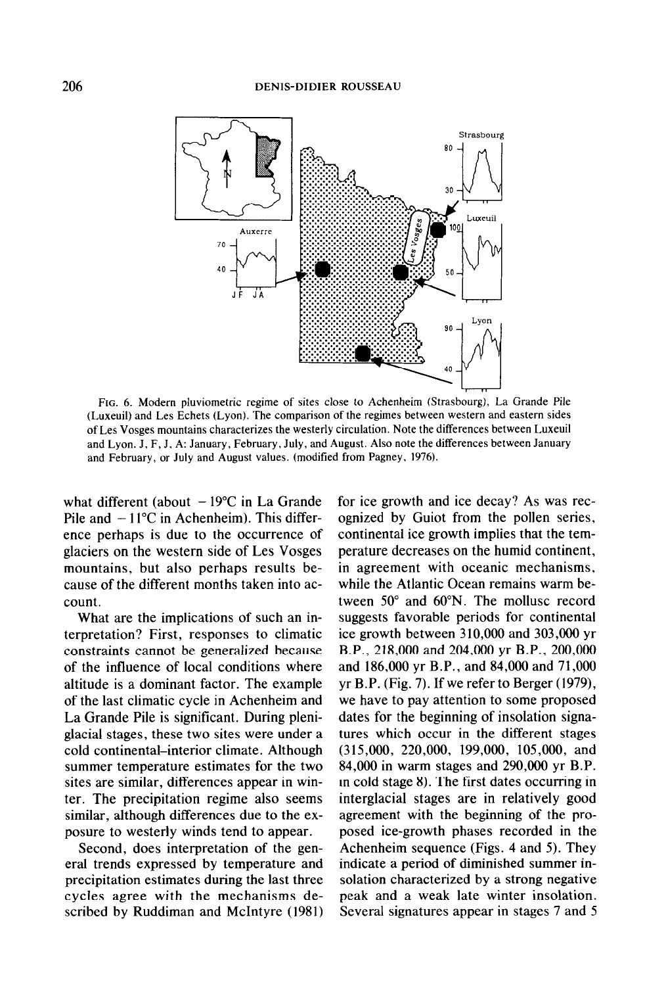

FIG. 6. Modern pluviometric regime of sites close to Achenheim (Strasbourg), La Cirande Pile (Luxeuil) and Les Echets (Lyon). The comparison of the regimes between western and eastern sides of Les Vosges mountains characterizes the westerly circulation. Note the differences between Luxeuil and Lyon. J, F, J. A: January, February, July, and August. Also note the differences between January and February, or July and August values. (modified from Pagney, 1976).

what different (about  $-19^{\circ}$ C in La Grande Pile and  $-11^{\circ}$ C in Achenheim). This difference perhaps is due to the occurrence of glaciers on the western side of Les Vosges mountains, but also perhaps results because of the different months taken into account.

What are the implications of such an interpretation? First, responses to climatic constraints cannot be generalized because of the influence of local conditions where altitude is a dominant factor. The example of the last climatic cycle in Achenheim and La Grande Pile is significant. During pleniglacial stages, these two sites were under a cold continental-interior climate. Although summer temperature estimates for the two sites are similar, differences appear in winter. The precipitation regime also seems similar, although differences due to the exposure to westerly winds tend to appear.

Second, does interpretation of the general trends expressed by temperature and precipitation estimates during the last three cycles agree with the mechanisms described by Ruddiman and McIntyre (1981) for ice growth and ice decay? As was recognized by Guiot from the pollen series, continental ice growth implies that the temperature decreases on the humid continent, in agreement with oceanic mechanisms, while the Atlantic Ocean remains warm between 50" and 60"N. The mollusc record suggests favorable periods for continental ice growth between 310,000 and 303,000 yr B.P., 218,000 and 204.000 yr B.P., 200,000 and 186,000 yr B.P., and 84,000 and 71,000 yr B.P. (Fig. 7). If we refer to Berger (1979), we have to pay attention to some proposed dates for the beginning of insolation signatures which occur in the different stages (315,000, 220,000, 199,000, 105,000, and 84,000 in warm stages and 290,000 yr B.P. in cold stage 8). The first dates occurring in interglacial stages are in relatively good agreement with the beginning of the proposed ice-growth phases recorded in the Achenheim sequence (Figs. 4 and 5). They indicate a period of diminished summer insolation characterized by a strong negative peak and a weak late winter insolation. Several signatures appear in stages 7 and 5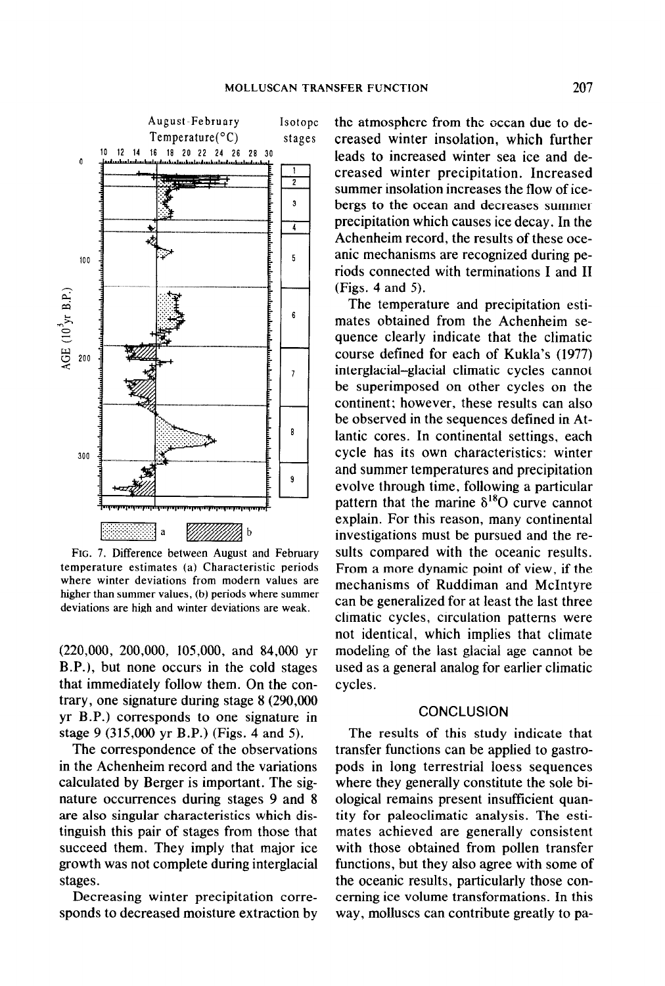

FIG. 7. Difference between August and February temperature estimates (a) Characteristic periods where winter deviations from modern values are higher than summer values, (b) periods where summer deviations are high and winter deviations are weak.

(220,000, 200,000, 105,000, and 84,000 yr B.P.), but none occurs in the cold stages that immediately follow them. On the contrary, one signature during stage 8 (290,000 yr B.P.) corresponds to one signature in stage 9 (315,000 yr B.P.) (Figs. 4 and 5).

The correspondence of the observations in the Achenheim record and the variations calculated by Berger is important. The signature occurrences during stages 9 and 8 are also singular characteristics which distinguish this pair of stages from those that succeed them. They imply that major ice growth was not complete during interglacial stages.

Decreasing winter precipitation corresponds to decreased moisture extraction by the atmosphere from the ocean due to decreased winter insolation, which further leads to increased winter sea ice and decreased winter precipitation. Increased summer insolation increases the flow of icebergs to the ocean and decreases summer precipitation which causes ice decay. In the Achenheim record, the results of these oceanic mechanisms are recognized during periods connected with terminations I and II (Figs. 4 and 5).

The temperature and precipitation estimates obtained from the Achenheim sequence clearly indicate that the climatic course defined for each of Kukla's (1977) interglacial-glacial climatic cycles cannot be superimposed on other cycles on the continent; however, these results can also be observed in the sequences defined in Atlantic cores. In continental settings, each cycle has its own characteristics: winter and summer temperatures and precipitation evolve through time, following a particular pattern that the marine  $\delta^{18}$ O curve cannot explain. For this reason, many continental investigations must be pursued and the results compared with the oceanic results. From a more dynamic point of view, if the mechanisms of Ruddiman and McIntyre can be generalized for at least the last three climatic cycles, circulation patterns were not identical, which implies that climate modeling of the last glacial age cannot be used as a general analog for earlier climatic cycles.

# **CONCLUSION**

The results of this study indicate that transfer functions can be applied to gastropods in long terrestrial loess sequences where they generally constitute the sole biological remains present insufficient quantity for paleoclimatic analysis. The estimates achieved are generally consistent with those obtained from pollen transfer functions, but they also agree with some of the oceanic results, particularly those concerning ice volume transformations. In this way, molluscs can contribute greatly to pa-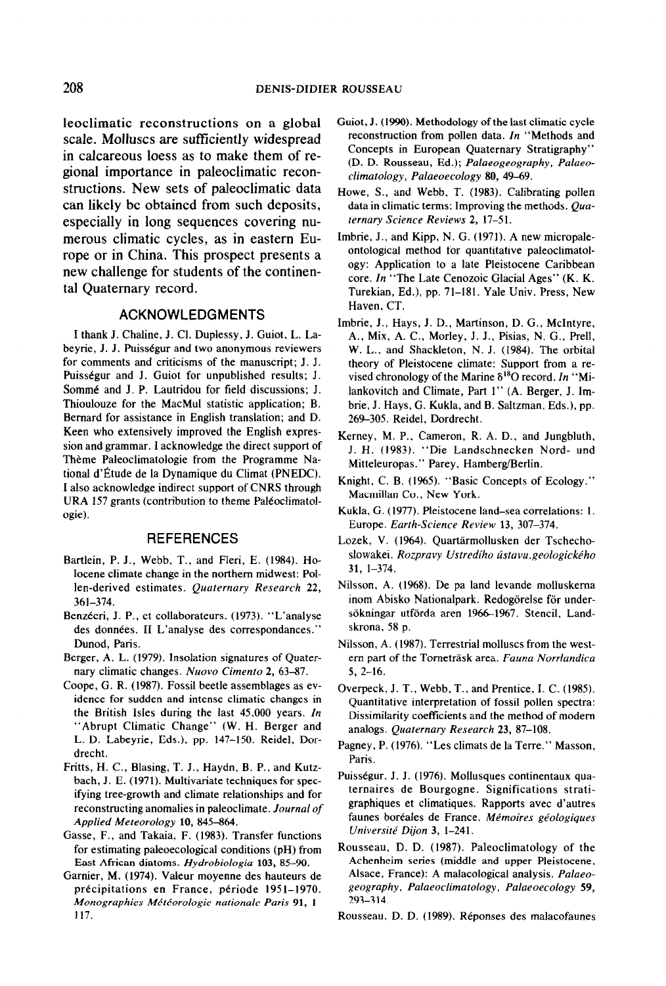scale. Molluscs are sufficiently widespread reconstruction from pollen data. In "Methods and<br>in release the mole than of an Concepts in European Quaternary Stratigraphy" in calcareous loess as to make them of regional importance in paleoclimatic recon structions. New sets of paleoclimatic data  $H_{\text{owe}}$ , S., and Webb, T. (1983). Calibrating pollen can likely be obtained from such deposits, data in climatic terms: Improving the methods.  $Qua$ especially in long sequences covering nu-<br>ternary Science Reviews 2, 17-51. merous climatic cycles, as in eastern Eu-<br>
nuclear United States and Kipp, N. G. (1971). A new micropale-<br>
nuclear ontological method for quantitative paleoclimatolrope or in China. This prospect presents a ontological method for quantitative paleoclimatol-<br>ogy: Application to a late Pleistocene Caribbean new challenge for students of the continental Quaternary record.

# ACKNOWLEDGMENTS

beyrie, J. J. Puisségur and two anonymous reviewers W. L., and Shackleton, N. J. (1984). The orbital for comments and criticisms of the manuscript; J. J. theory of Pleistocene climate: Support from a re-Puisségur and J. Guiot for unpublished results; J. vised chronology of the Marine  $\delta^{18}$ O record. In "Mi-Sommé and J. P. Lautridou for field discussions; J. lankovitch and Climate, Part 1" (A. Berger, J. Im-Thioulouze for the MacMul statistic application; B. brie, J. Hays, G. Kukla, and B. Saltzman, Eds.), pp. Bernard for assistance in English translation; and D. 269-305. Reidel, Dordrecht. Keen who extensively improved the English expression and grammar. I acknowledge the direct support of Theme Paleoclimatologie from the Programme National d'Etude de la Dynamique du Climat (PNEDC). I also acknowledge indirect support of CNRS through Knight, C. B. (1965). "Basic Concepts of Ecology."<br>Macmillan Co., New York. URA 157 grants (contribution to theme Paléoclimatologie) Kukla, G. (1977). Pleistocene land-sea correlations: 1.

- $\frac{1}{2}$  locene climate change in the northern midwest: Pol-  $\frac{31}{2}$ , 1–374.
- des données. II L'analyse des correspondances." skrona, 58 p. Dunod, Paris. Nilsson, A. (1987). Terrestrial molluscs from the west-
- nary climatic changes. Nuovo Cimento 2, 63-87. 5, 2-16.
- Coope, G. R. (1987). Fossil beetle assemblages as ev- Overpeck, J. T., Webb, T.. and Prentice, I. C. (1985). idence for sudden and intense climatic changes in the British Isles during the last 45.000 years. In "Abrupt Climatic Change" (W. H. Berger and L. D. Labeyrie, Eds.), pp. 147-150. Reidel, Dor-L. D. Labeyrie, Eds.), pp. 14/-150. Reidel, Dor-<br>drecht drecht.  $F_{\text{RITS}}$ ,  $F_{\text{RITS}}$ ,  $F_{\text{RITS}}$ ,  $F_{\text{RITS}}$ ,  $F_{\text{RITS}}$
- itts, H. C., Blasing, T. J., Haydn, B. P., and Kutz-<br>List in S. (1976). Mollusques continentaux qua-Applied Meteorology 10, 845–864.<br>Gasse, F., and Takaia, F. (1983). Transfer functions Université Dijon 3, 1–241.
- Gasse, F., and Takaia, F. (1983). Transfer functions  $\frac{Universe\,Dij}$ , 1–241.<br>for estimating paleoecological conditions (pH) from Rousseau, D. D. (1987). Paleoclimatology of the
- précipitations en France, période 1951-1970. geograp<br>Monographies Météorologie nationale Paris 91, l. 293-314. Monographies Météorologie nationale Paris 91, 1 - 293–314.<br>117. Rousseau, D. D. (1989). Réponses des malacofaunes
- **leoclimatic reconstructions on a global Guiot, J. (1990). Methodology of the last climatic cycle**<br>scale Molluscs are sufficiently widespread reconstruction from pollen data. In "Methods and (D. D. Rousseau, Ed.); Palaeogeography, Palaeoclimatology, Palaeoecology 80, 49-69.
	-
	- core. In "The Late Cenozoic Glacial Ages" (K. K. Turekian, Ed.), pp. 71-181. Yale Univ. Press, New Haven, CT.
	- Imbrie, J., Hays, J. D., Martinson, D. G., McIntyre, I thank J. Chaline, J. Cl. Duplessy, J. Guiot, L. La- A., Mix, A. C., Morley, J. J., Pisias, N. G., Prell,
		- Kerney, M. P., Cameron, R. A. D.. and Jungbluth, J. H. (1983). "Die Landschnecken Nord- und Mitteleuropas." Parey. Hamberg/Berlin.
		-
		- Europe. Earth-Science Review 13, 307-374.
- REFERENCES Lozek, V. (1964). Quartarmollusken der Tschecho-Bartlein, P. J., Webb, T., and Fleri, E. (1984). Ho-<br>Slowakei. Rozpravy Ustrediho ústavu.geologického
- len-derived estimates. Quaternary Research 22, Nilsson, A. (1968). De pa land levande molluskerna 361-374. inom Abisko Nationalpark. Redogdrelse for under-Benzécri, J. P., et collaborateurs. (1973). "L'analyse sökningar utförda aren 1966-1967. Stencil, Land-
- Berger, A. L. (1979). Insolation signatures of Quater- ern part of the Torneträsk area. Fauna Norrlandica
	- Quantitative interpretation of fossil pollen spectra: Dissimilarity coefficients and the method of modem analogs. Quaternary Research 23, 87-108.
	-
	- if  $\mu$ ,  $\mu$ ,  $\mu$ ,  $\mu$ ,  $\mu$ ,  $\mu$ ,  $\mu$ ,  $\mu$ ,  $\mu$ ,  $\sigma$ ,  $\sigma$ ,  $\sigma$ ,  $\sigma$ ,  $\sigma$ ,  $\sigma$ ,  $\sigma$ ,  $\sigma$ ,  $\sigma$ ,  $\sigma$ ,  $\sigma$ ,  $\sigma$ ,  $\sigma$ ,  $\sigma$ ,  $\sigma$ ,  $\sigma$ ,  $\sigma$ ,  $\sigma$ ,  $\sigma$ ,  $\sigma$ ,  $\sigma$ ,  $\sigma$ ,  $\sigma$ ,  $\sigma$ ,  $\sigma$ ,  $\sigma$ ,  $\sigma$ ,  $\$ if ying tree-growth and climate relationships and for<br>reconstructing anomalies in paleoclimate. Journal of graphiques et climatiques. Rapports avec d'autres faunes boréales de France. Mémoires géologiques
- for estimating paleoecological conditions (pH) from Rousseau, D. D. (1987). Paleoclimatology of the East African diatoms. Hydrobiologic 103, 85-90. Achenheim series (middle and upper Pleistocene, East African diatoms. *Hydrobiologia* 103, 85–90. Achenheim series (middle and upper Pleistocene, Enance): A malacological analysis. *Palaeo-*<br>Inter, M. (1974). Valeur movenne des hauteurs de la Alsace, France): A malacolo Garnier, M. (1974). Valeur moyenne des hauteurs de Alsace, France): A malacological analysis. *Palaeo-*<br>précipitations en France, période 1951–1970. geography, *Palaeoclimatology, Palaeoecology* 59,
	-